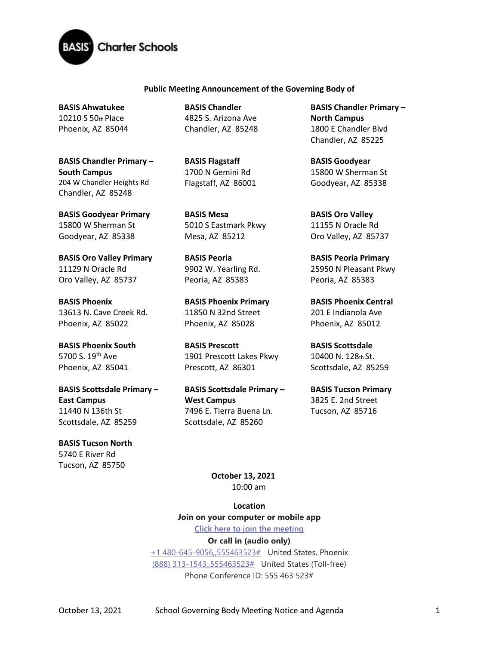

## **Public Meeting Announcement of the Governing Body of**

**BASIS Ahwatukee**  10210 S 50th Place Phoenix, AZ 85044

**BASIS Chandler Primary – South Campus**  204 W Chandler Heights Rd Chandler, AZ 85248

**BASIS Goodyear Primary**  15800 W Sherman St Goodyear, AZ 85338

**BASIS Oro Valley Primary**  11129 N Oracle Rd Oro Valley, AZ 85737

**BASIS Phoenix**  13613 N. Cave Creek Rd. Phoenix, AZ 85022

**BASIS Phoenix South**  5700 S. 19<sup>th</sup> Ave Phoenix, AZ 85041

**BASIS Scottsdale Primary – East Campus** 11440 N 136th St Scottsdale, AZ 85259

**BASIS Tucson North**  5740 E River Rd Tucson, AZ 85750

**BASIS Chandler**  4825 S. Arizona Ave Chandler, AZ 85248

**BASIS Flagstaff**  1700 N Gemini Rd Flagstaff, AZ 86001

**BASIS Mesa**  5010 S Eastmark Pkwy Mesa, AZ 85212

**BASIS Peoria**  9902 W. Yearling Rd. Peoria, AZ 85383

**BASIS Phoenix Primary** 11850 N 32nd Street Phoenix, AZ 85028

**BASIS Prescott**  1901 Prescott Lakes Pkwy Prescott, AZ 86301

**BASIS Scottsdale Primary – West Campus** 7496 E. Tierra Buena Ln. Scottsdale, AZ 85260

**BASIS Chandler Primary – North Campus**  1800 E Chandler Blvd Chandler, AZ 85225

**BASIS Goodyear**  15800 W Sherman St Goodyear, AZ 85338

**BASIS Oro Valley**  11155 N Oracle Rd Oro Valley, AZ 85737

**BASIS Peoria Primary**  25950 N Pleasant Pkwy Peoria, AZ 85383

**BASIS Phoenix Central**  201 E Indianola Ave Phoenix, AZ 85012

**BASIS Scottsdale**  10400 N. 128th St. Scottsdale, AZ 85259

**BASIS Tucson Primary**  3825 E. 2nd Street Tucson, AZ 85716

**October 13, 2021** 10:00 am

**Location Join on your computer or mobile app**

**[Click here to join the meeting](https://teams.microsoft.com/l/meetup-join/19%3ameeting_YTIwZDhjY2MtYjlmYy00Yjc5LTllNWItZWNjNTE5YmFhYjVm%40thread.v2/0?context=%7b%22Tid%22%3a%22e5f3479c-502f-4e92-b060-0c0c560d6271%22%2c%22Oid%22%3a%22575e4f74-824e-48e9-9805-77af91568d41%22%7d) Or call in (audio only)**

[+1 480-645-9056,,555463523#](tel:+14806459056,,555463523# ) United States, Phoenix [\(888\) 313-1543,,555463523#](tel:8883131543,,555463523# ) United States (Toll-free) Phone Conference ID: 555 463 523#